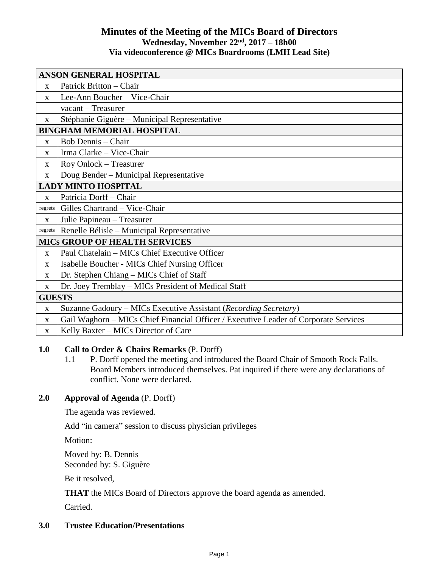# **Minutes of the Meeting of the MICs Board of Directors Wednesday, November 22nd , 2017 – 18h00 Via videoconference @ MICs Boardrooms (LMH Lead Site)**

| <b>ANSON GENERAL HOSPITAL</b>        |                                                                                      |
|--------------------------------------|--------------------------------------------------------------------------------------|
| $\mathbf{X}$                         | Patrick Britton – Chair                                                              |
| $\mathbf{X}$                         | Lee-Ann Boucher - Vice-Chair                                                         |
|                                      | vacant - Treasurer                                                                   |
| $\mathbf{X}$                         | Stéphanie Giguère - Municipal Representative                                         |
| <b>BINGHAM MEMORIAL HOSPITAL</b>     |                                                                                      |
| $\mathbf{x}$                         | <b>Bob Dennis - Chair</b>                                                            |
| $\mathbf{X}$                         | Irma Clarke - Vice-Chair                                                             |
| X                                    | Roy Onlock - Treasurer                                                               |
| $\mathbf X$                          | Doug Bender - Municipal Representative                                               |
| <b>LADY MINTO HOSPITAL</b>           |                                                                                      |
| X                                    | Patricia Dorff-Chair                                                                 |
| regrets                              | Gilles Chartrand - Vice-Chair                                                        |
| X                                    | Julie Papineau - Treasurer                                                           |
| regrets                              | Renelle Bélisle – Municipal Representative                                           |
| <b>MICS GROUP OF HEALTH SERVICES</b> |                                                                                      |
| $\mathbf{X}$                         | Paul Chatelain – MICs Chief Executive Officer                                        |
| $\mathbf{X}$                         | Isabelle Boucher - MICs Chief Nursing Officer                                        |
| $\mathbf{X}$                         | Dr. Stephen Chiang – MICs Chief of Staff                                             |
| $\mathbf X$                          | Dr. Joey Tremblay - MICs President of Medical Staff                                  |
| <b>GUESTS</b>                        |                                                                                      |
| $\mathbf X$                          | Suzanne Gadoury – MICs Executive Assistant (Recording Secretary)                     |
| X                                    | Gail Waghorn - MICs Chief Financial Officer / Executive Leader of Corporate Services |
| $\mathbf{X}$                         | Kelly Baxter - MICs Director of Care                                                 |

## **1.0 Call to Order & Chairs Remarks** (P. Dorff)

1.1 P. Dorff opened the meeting and introduced the Board Chair of Smooth Rock Falls. Board Members introduced themselves. Pat inquired if there were any declarations of conflict. None were declared.

# **2.0 Approval of Agenda** (P. Dorff)

The agenda was reviewed.

Add "in camera" session to discuss physician privileges

Motion:

Moved by: B. Dennis Seconded by: S. Giguère

Be it resolved,

**THAT** the MICs Board of Directors approve the board agenda as amended.

Carried.

# **3.0 Trustee Education/Presentations**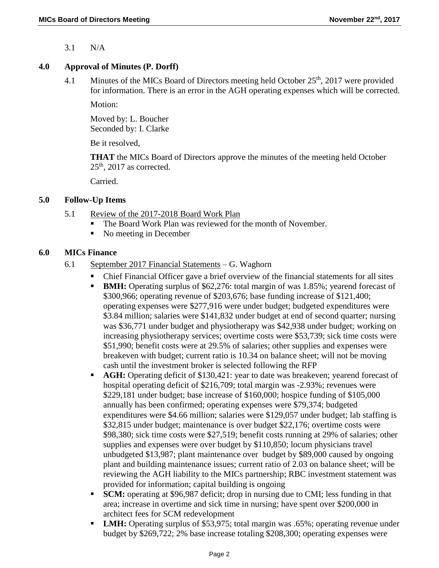3.1 N/A

### **4.0 Approval of Minutes (P. Dorff)**

4.1 Minutes of the MICs Board of Directors meeting held October 25<sup>th</sup>, 2017 were provided for information. There is an error in the AGH operating expenses which will be corrected.

Motion:

Moved by: L. Boucher Seconded by: I. Clarke

Be it resolved,

**THAT** the MICs Board of Directors approve the minutes of the meeting held October  $25<sup>th</sup>$ , 2017 as corrected.

Carried.

## **5.0 Follow-Up Items**

- 5.1 Review of the 2017-2018 Board Work Plan
	- The Board Work Plan was reviewed for the month of November.
	- No meeting in December

## **6.0 MICs Finance**

- 6.1 September 2017 Financial Statements G. Waghorn
	- Chief Financial Officer gave a brief overview of the financial statements for all sites
	- **BMH:** Operating surplus of \$62,276: total margin of was 1.85%; yearend forecast of \$300,966; operating revenue of \$203,676; base funding increase of \$121,400; operating expenses were \$277,916 were under budget; budgeted expenditures were \$3.84 million; salaries were \$141,832 under budget at end of second quarter; nursing was \$36,771 under budget and physiotherapy was \$42,938 under budget; working on increasing physiotherapy services; overtime costs were \$53,739; sick time costs were \$51,990; benefit costs were at 29.5% of salaries; other supplies and expenses were breakeven with budget; current ratio is 10.34 on balance sheet; will not be moving cash until the investment broker is selected following the RFP
	- **AGH:** Operating deficit of \$130,421: year to date was breakeven; yearend forecast of hospital operating deficit of \$216,709; total margin was -2.93%; revenues were \$229,181 under budget; base increase of \$160,000; hospice funding of \$105,000 annually has been confirmed; operating expenses were \$79,374; budgeted expenditures were \$4.66 million; salaries were \$129,057 under budget; lab staffing is \$32,815 under budget; maintenance is over budget \$22,176; overtime costs were \$98,380; sick time costs were \$27,519; benefit costs running at 29% of salaries; other supplies and expenses were over budget by \$110,850; locum physicians travel unbudgeted \$13,987; plant maintenance over budget by \$89,000 caused by ongoing plant and building maintenance issues; current ratio of 2.03 on balance sheet; will be reviewing the AGH liability to the MICs partnership; RBC investment statement was provided for information; capital building is ongoing
	- **SCM:** operating at \$96,987 deficit; drop in nursing due to CMI; less funding in that area; increase in overtime and sick time in nursing; have spent over \$200,000 in architect fees for SCM redevelopment
	- **LMH:** Operating surplus of \$53,975; total margin was .65%; operating revenue under budget by \$269,722; 2% base increase totaling \$208,300; operating expenses were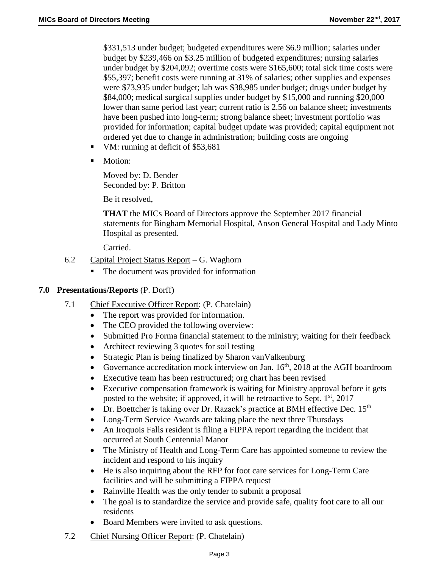\$331,513 under budget; budgeted expenditures were \$6.9 million; salaries under budget by \$239,466 on \$3.25 million of budgeted expenditures; nursing salaries under budget by \$204,092; overtime costs were \$165,600; total sick time costs were \$55,397; benefit costs were running at 31% of salaries; other supplies and expenses were \$73,935 under budget; lab was \$38,985 under budget; drugs under budget by \$84,000; medical surgical supplies under budget by \$15,000 and running \$20,000 lower than same period last year; current ratio is 2.56 on balance sheet; investments have been pushed into long-term; strong balance sheet; investment portfolio was provided for information; capital budget update was provided; capital equipment not ordered yet due to change in administration; building costs are ongoing

- VM: running at deficit of \$53,681
- **Motion:**

Moved by: D. Bender Seconded by: P. Britton

Be it resolved,

**THAT** the MICs Board of Directors approve the September 2017 financial statements for Bingham Memorial Hospital, Anson General Hospital and Lady Minto Hospital as presented.

Carried.

- 6.2 Capital Project Status Report G. Waghorn
	- The document was provided for information

### **7.0 Presentations/Reports** (P. Dorff)

- 7.1 Chief Executive Officer Report: (P. Chatelain)
	- The report was provided for information.
	- The CEO provided the following overview:
	- Submitted Pro Forma financial statement to the ministry; waiting for their feedback
	- Architect reviewing 3 quotes for soil testing
	- Strategic Plan is being finalized by Sharon van Valkenburg
	- Governance accreditation mock interview on Jan.  $16<sup>th</sup>$ , 2018 at the AGH boardroom
	- Executive team has been restructured; org chart has been revised
	- Executive compensation framework is waiting for Ministry approval before it gets posted to the website; if approved, it will be retroactive to Sept. 1st, 2017
	- Dr. Boettcher is taking over Dr. Razack's practice at BMH effective Dec.  $15<sup>th</sup>$
	- Long-Term Service Awards are taking place the next three Thursdays
	- An Iroquois Falls resident is filing a FIPPA report regarding the incident that occurred at South Centennial Manor
	- The Ministry of Health and Long-Term Care has appointed someone to review the incident and respond to his inquiry
	- He is also inquiring about the RFP for foot care services for Long-Term Care facilities and will be submitting a FIPPA request
	- Rainville Health was the only tender to submit a proposal
	- The goal is to standardize the service and provide safe, quality foot care to all our residents
	- Board Members were invited to ask questions.
- 7.2 Chief Nursing Officer Report: (P. Chatelain)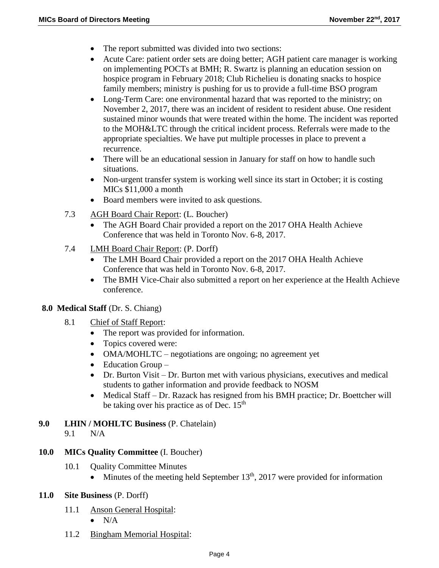- The report submitted was divided into two sections:
- Acute Care: patient order sets are doing better; AGH patient care manager is working on implementing POCTs at BMH; R. Swartz is planning an education session on hospice program in February 2018; Club Richelieu is donating snacks to hospice family members; ministry is pushing for us to provide a full-time BSO program
- Long-Term Care: one environmental hazard that was reported to the ministry; on November 2, 2017, there was an incident of resident to resident abuse. One resident sustained minor wounds that were treated within the home. The incident was reported to the MOH&LTC through the critical incident process. Referrals were made to the appropriate specialties. We have put multiple processes in place to prevent a recurrence.
- There will be an educational session in January for staff on how to handle such situations.
- Non-urgent transfer system is working well since its start in October; it is costing MICs \$11,000 a month
- Board members were invited to ask questions.
- 7.3 AGH Board Chair Report: (L. Boucher)
	- The AGH Board Chair provided a report on the 2017 OHA Health Achieve Conference that was held in Toronto Nov. 6-8, 2017.
- 7.4 LMH Board Chair Report: (P. Dorff)
	- The LMH Board Chair provided a report on the 2017 OHA Health Achieve Conference that was held in Toronto Nov. 6-8, 2017.
	- The BMH Vice-Chair also submitted a report on her experience at the Health Achieve conference.

### **8.0 Medical Staff** (Dr. S. Chiang)

- 8.1 Chief of Staff Report:
	- The report was provided for information.
	- Topics covered were:
	- OMA/MOHLTC negotiations are ongoing; no agreement yet
	- $\bullet$  Education Group –
	- Dr. Burton Visit Dr. Burton met with various physicians, executives and medical students to gather information and provide feedback to NOSM
	- Medical Staff Dr. Razack has resigned from his BMH practice: Dr. Boettcher will be taking over his practice as of Dec. 15<sup>th</sup>
- **9.0 LHIN / MOHLTC Business** (P. Chatelain)

9.1 N/A

- **10.0 MICs Quality Committee** (I. Boucher)
	- 10.1 Ouality Committee Minutes
		- Minutes of the meeting held September  $13<sup>th</sup>$ , 2017 were provided for information

### **11.0 Site Business** (P. Dorff)

- 11.1 Anson General Hospital:
	- $\bullet$  N/A
- 11.2 Bingham Memorial Hospital: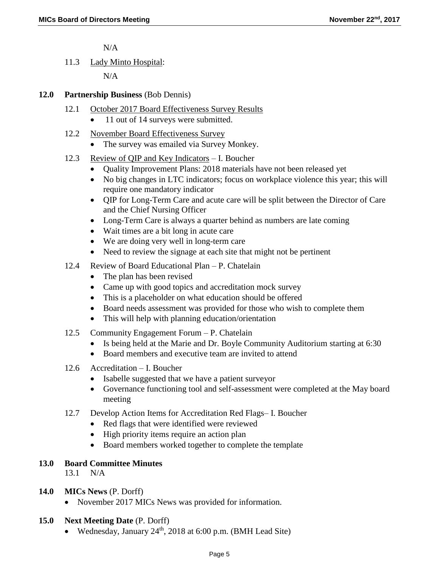N/A

11.3 Lady Minto Hospital:

 $N/A$ 

### **12.0 Partnership Business** (Bob Dennis)

- 12.1 October 2017 Board Effectiveness Survey Results
	- 11 out of 14 surveys were submitted.
- 12.2 November Board Effectiveness Survey
	- The survey was emailed via Survey Monkey.
- 12.3 Review of QIP and Key Indicators I. Boucher
	- Quality Improvement Plans: 2018 materials have not been released yet
	- No big changes in LTC indicators; focus on workplace violence this year; this will require one mandatory indicator
	- QIP for Long-Term Care and acute care will be split between the Director of Care and the Chief Nursing Officer
	- Long-Term Care is always a quarter behind as numbers are late coming
	- Wait times are a bit long in acute care
	- We are doing very well in long-term care
	- Need to review the signage at each site that might not be pertinent
- 12.4 Review of Board Educational Plan P. Chatelain
	- The plan has been revised
	- Came up with good topics and accreditation mock survey
	- This is a placeholder on what education should be offered
	- Board needs assessment was provided for those who wish to complete them
	- This will help with planning education/orientation
- 12.5 Community Engagement Forum P. Chatelain
	- Is being held at the Marie and Dr. Boyle Community Auditorium starting at 6:30
	- Board members and executive team are invited to attend
- 12.6 Accreditation I. Boucher
	- Isabelle suggested that we have a patient surveyor
	- Governance functioning tool and self-assessment were completed at the May board meeting
- 12.7 Develop Action Items for Accreditation Red Flags– I. Boucher
	- Red flags that were identified were reviewed
	- High priority items require an action plan
	- Board members worked together to complete the template

#### **13.0 Board Committee Minutes**

13.1 N/A

### **14.0 MICs News** (P. Dorff)

• November 2017 MICs News was provided for information.

#### **15.0 Next Meeting Date** (P. Dorff)

• Wednesday, January  $24<sup>th</sup>$ , 2018 at 6:00 p.m. (BMH Lead Site)